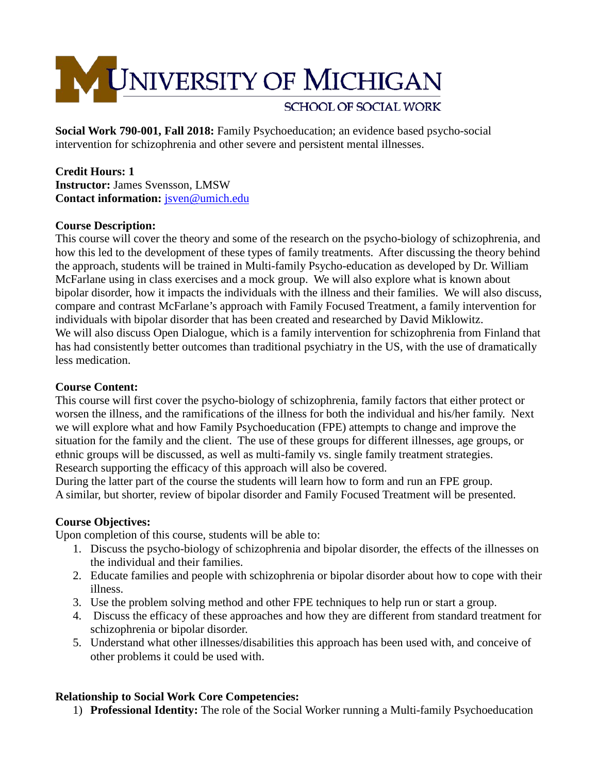

**Social Work 790-001, Fall 2018:** Family Psychoeducation; an evidence based psycho-social intervention for schizophrenia and other severe and persistent mental illnesses.

## **Credit Hours: 1 Instructor:** James Svensson, LMSW **Contact information:** [jsven@umich.edu](mailto:jsven@umich.edu)

# **Course Description:**

This course will cover the theory and some of the research on the psycho-biology of schizophrenia, and how this led to the development of these types of family treatments. After discussing the theory behind the approach, students will be trained in Multi-family Psycho-education as developed by Dr. William McFarlane using in class exercises and a mock group. We will also explore what is known about bipolar disorder, how it impacts the individuals with the illness and their families. We will also discuss, compare and contrast McFarlane's approach with Family Focused Treatment, a family intervention for individuals with bipolar disorder that has been created and researched by David Miklowitz. We will also discuss Open Dialogue, which is a family intervention for schizophrenia from Finland that has had consistently better outcomes than traditional psychiatry in the US, with the use of dramatically less medication.

## **Course Content:**

This course will first cover the psycho-biology of schizophrenia, family factors that either protect or worsen the illness, and the ramifications of the illness for both the individual and his/her family. Next we will explore what and how Family Psychoeducation (FPE) attempts to change and improve the situation for the family and the client. The use of these groups for different illnesses, age groups, or ethnic groups will be discussed, as well as multi-family vs. single family treatment strategies. Research supporting the efficacy of this approach will also be covered.

During the latter part of the course the students will learn how to form and run an FPE group. A similar, but shorter, review of bipolar disorder and Family Focused Treatment will be presented.

## **Course Objectives:**

Upon completion of this course, students will be able to:

- 1. Discuss the psycho-biology of schizophrenia and bipolar disorder, the effects of the illnesses on the individual and their families.
- 2. Educate families and people with schizophrenia or bipolar disorder about how to cope with their illness.
- 3. Use the problem solving method and other FPE techniques to help run or start a group.
- 4. Discuss the efficacy of these approaches and how they are different from standard treatment for schizophrenia or bipolar disorder.
- 5. Understand what other illnesses/disabilities this approach has been used with, and conceive of other problems it could be used with.

## **Relationship to Social Work Core Competencies:**

1) **Professional Identity:** The role of the Social Worker running a Multi-family Psychoeducation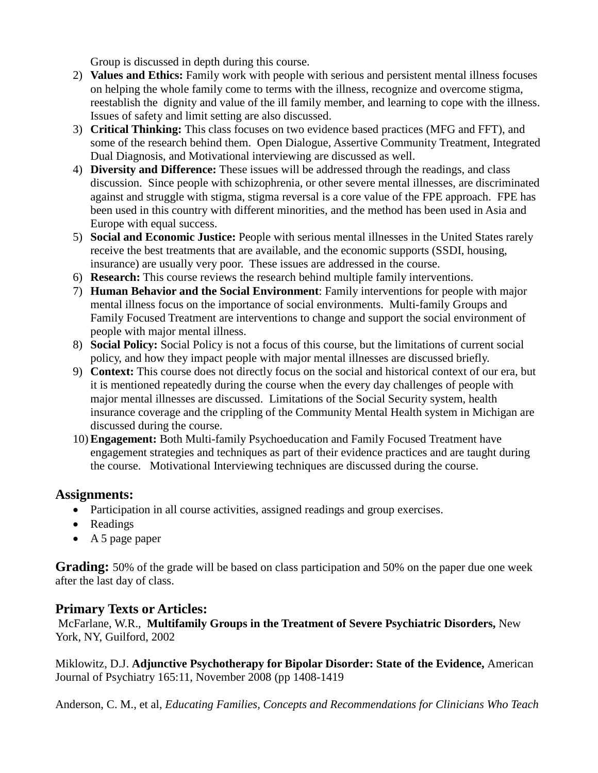Group is discussed in depth during this course.

- 2) **Values and Ethics:** Family work with people with serious and persistent mental illness focuses on helping the whole family come to terms with the illness, recognize and overcome stigma, reestablish the dignity and value of the ill family member, and learning to cope with the illness. Issues of safety and limit setting are also discussed.
- 3) **Critical Thinking:** This class focuses on two evidence based practices (MFG and FFT), and some of the research behind them. Open Dialogue, Assertive Community Treatment, Integrated Dual Diagnosis, and Motivational interviewing are discussed as well.
- 4) **Diversity and Difference:** These issues will be addressed through the readings, and class discussion. Since people with schizophrenia, or other severe mental illnesses, are discriminated against and struggle with stigma, stigma reversal is a core value of the FPE approach. FPE has been used in this country with different minorities, and the method has been used in Asia and Europe with equal success.
- 5) **Social and Economic Justice:** People with serious mental illnesses in the United States rarely receive the best treatments that are available, and the economic supports (SSDI, housing, insurance) are usually very poor. These issues are addressed in the course.
- 6) **Research:** This course reviews the research behind multiple family interventions.
- 7) **Human Behavior and the Social Environment**: Family interventions for people with major mental illness focus on the importance of social environments. Multi-family Groups and Family Focused Treatment are interventions to change and support the social environment of people with major mental illness.
- 8) **Social Policy:** Social Policy is not a focus of this course, but the limitations of current social policy, and how they impact people with major mental illnesses are discussed briefly.
- 9) **Context:** This course does not directly focus on the social and historical context of our era, but it is mentioned repeatedly during the course when the every day challenges of people with major mental illnesses are discussed. Limitations of the Social Security system, health insurance coverage and the crippling of the Community Mental Health system in Michigan are discussed during the course.
- 10) **Engagement:** Both Multi-family Psychoeducation and Family Focused Treatment have engagement strategies and techniques as part of their evidence practices and are taught during the course. Motivational Interviewing techniques are discussed during the course.

# **Assignments:**

- Participation in all course activities, assigned readings and group exercises.
- Readings
- A 5 page paper

**Grading:** 50% of the grade will be based on class participation and 50% on the paper due one week after the last day of class.

# **Primary Texts or Articles:**

McFarlane, W.R., **Multifamily Groups in the Treatment of Severe Psychiatric Disorders,** New York, NY, Guilford, 2002

Miklowitz, D.J. **Adjunctive Psychotherapy for Bipolar Disorder: State of the Evidence,** American Journal of Psychiatry 165:11, November 2008 (pp 1408-1419

Anderson, C. M., et al, *Educating Families, Concepts and Recommendations for Clinicians Who Teach*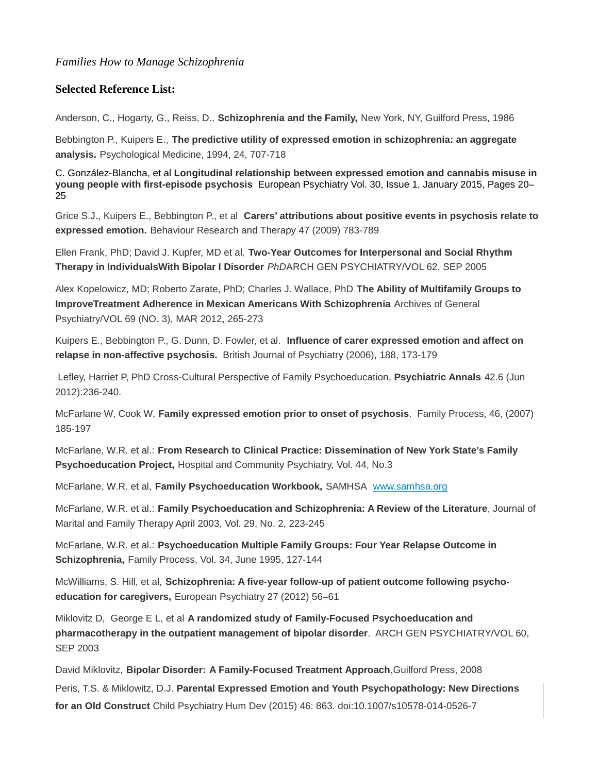## **Selected Reference List:**

Anderson, C., Hogarty, G., Reiss, D., **Schizophrenia and the Family,** New York, NY, Guilford Press, 1986

Bebbington P., Kuipers E., **The predictive utility of expressed emotion in schizophrenia: an aggregate analysis.** Psychological Medicine, 1994, 24, 707-718

[C. González-Blanch](http://www.sciencedirect.com/science/article/pii/S0924933814001394)[a,](http://www.sciencedirect.com/science/article/pii/S0924933814001394#aff0005) et al **Longitudinal relationship between expressed emotion and cannabis misuse in young people with first-episode psychosis** [European Psychiatry](http://www.sciencedirect.com/science/journal/09249338) [Vol. 30, Issue 1,](http://www.sciencedirect.com/science/journal/09249338/30/1) January 2015, Pages 20– 25

Grice S.J., Kuipers E., Bebbington P., et al **Carers' attributions about positive events in psychosis relate to expressed emotion.** Behaviour Research and Therapy 47 (2009) 783-789

Ellen Frank, PhD; David J. Kupfer, MD et al*,* **Two-Year Outcomes for Interpersonal and Social Rhythm Therapy in IndividualsWith Bipolar I Disorder** *PhD*ARCH GEN PSYCHIATRY/VOL 62, SEP 2005

Alex Kopelowicz, MD; Roberto Zarate, PhD; Charles J. Wallace, PhD **The Ability of Multifamily Groups to ImproveTreatment Adherence in Mexican Americans With Schizophrenia** Archives of General Psychiatry/VOL 69 (NO. 3), MAR 2012, 265-273

Kuipers E., Bebbington P., G. Dunn, D. Fowler, et al. **Influence of carer expressed emotion and affect on relapse in non-affective psychosis.** British Journal of Psychiatry (2006), 188, 173-179

Lefley, Harriet P, PhD Cross-Cultural Perspective of Family Psychoeducation, **Psychiatric Annals** 42.6 (Jun 2012):236-240.

McFarlane W, Cook W, **Family expressed emotion prior to onset of psychosis**. Family Process, 46, (2007) 185-197

McFarlane, W.R. et al.: **From Research to Clinical Practice: Dissemination of New York State's Family Psychoeducation Project,** Hospital and Community Psychiatry, Vol. 44, No.3

McFarlane, W.R. et al, **Family Psychoeducation Workbook,** SAMHSA [www.samhsa.org](http://www.samhsa.org/)

McFarlane, W.R. et al.: **Family Psychoeducation and Schizophrenia: A Review of the Literature**, Journal of Marital and Family Therapy April 2003, Vol. 29, No. 2, 223-245

McFarlane, W.R. et al.: **Psychoeducation Multiple Family Groups: Four Year Relapse Outcome in Schizophrenia,** Family Process, Vol. 34, June 1995, 127-144

McWilliams, S. Hill, et al, **Schizophrenia: A five-year follow-up of patient outcome following psychoeducation for caregivers,** European Psychiatry 27 (2012) 56–61

Miklovitz D, George E L, et al **A randomized study of Family-Focused Psychoeducation and pharmacotherapy in the outpatient management of bipolar disorder**. ARCH GEN PSYCHIATRY/VOL 60, SEP 2003

David Miklovitz, **Bipolar Disorder: A Family-Focused Treatment Approach**,Guilford Press, 2008 Peris, T.S. & Miklowitz, D.J. **Parental Expressed Emotion and Youth Psychopathology: New Directions for an Old Construct** Child Psychiatry Hum Dev (2015) 46: 863. doi:10.1007/s10578-014-0526-7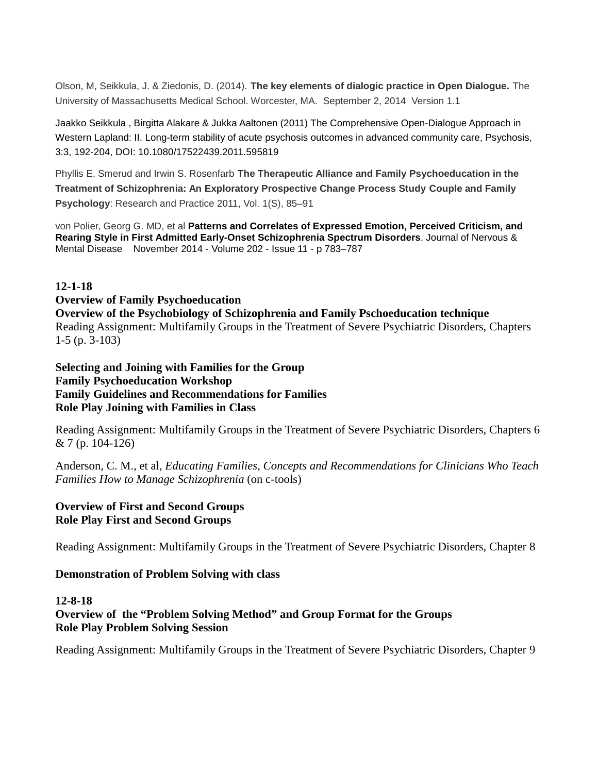Olson, M, Seikkula, J. & Ziedonis, D. (2014). **The key elements of dialogic practice in Open Dialogue.** The University of Massachusetts Medical School. Worcester, MA. September 2, 2014 Version 1.1

Jaakko Seikkula , Birgitta Alakare & Jukka Aaltonen (2011) The Comprehensive Open-Dialogue Approach in Western Lapland: II. Long-term stability of acute psychosis outcomes in advanced community care, Psychosis, 3:3, 192-204, DOI: 10.1080/17522439.2011.595819

Phyllis E. Smerud and Irwin S. Rosenfarb **The Therapeutic Alliance and Family Psychoeducation in the Treatment of Schizophrenia: An Exploratory Prospective Change Process Study Couple and Family Psychology**: Research and Practice 2011, Vol. 1(S), 85–91

von Polier, Georg G. MD, et al **Patterns and Correlates of Expressed Emotion, Perceived Criticism, and Rearing Style in First Admitted Early-Onset Schizophrenia Spectrum Disorders**. Journal of Nervous & Mental Disease [November 2014 -](http://journals.lww.com/jonmd/toc/2014/11000) Volume 202 - Issue 11 - p 783–787

## **12-1-18**

#### **Overview of Family Psychoeducation**

**Overview of the Psychobiology of Schizophrenia and Family Pschoeducation technique** Reading Assignment: Multifamily Groups in the Treatment of Severe Psychiatric Disorders, Chapters 1-5 (p. 3-103)

# **Selecting and Joining with Families for the Group Family Psychoeducation Workshop Family Guidelines and Recommendations for Families Role Play Joining with Families in Class**

Reading Assignment: Multifamily Groups in the Treatment of Severe Psychiatric Disorders, Chapters 6 & 7 (p. 104-126)

Anderson, C. M., et al, *Educating Families, Concepts and Recommendations for Clinicians Who Teach Families How to Manage Schizophrenia* (on c-tools)

# **Overview of First and Second Groups Role Play First and Second Groups**

Reading Assignment: Multifamily Groups in the Treatment of Severe Psychiatric Disorders, Chapter 8

## **Demonstration of Problem Solving with class**

## **12-8-18 Overview of the "Problem Solving Method" and Group Format for the Groups Role Play Problem Solving Session**

Reading Assignment: Multifamily Groups in the Treatment of Severe Psychiatric Disorders, Chapter 9